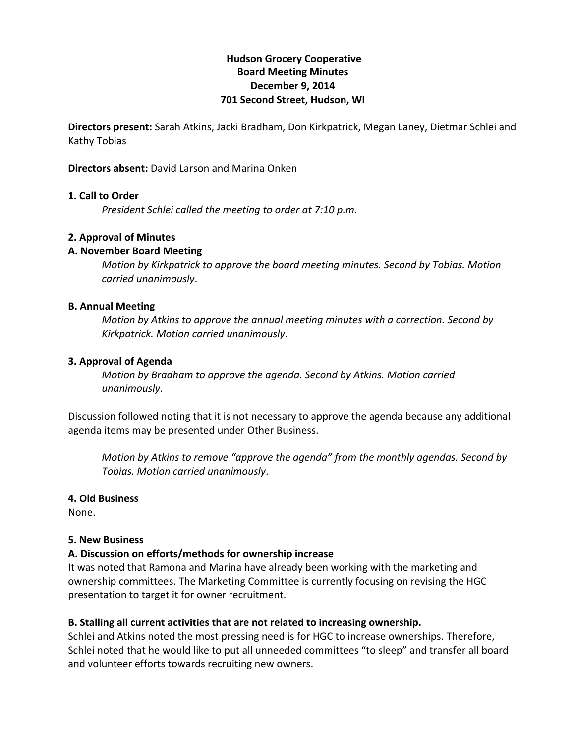## **Hudson!Grocery!Cooperative Board!Meeting!Minutes December 9, 2014 701 Second Street, Hudson, WI**

**Directors present:** Sarah Atkins, Jacki Bradham, Don Kirkpatrick, Megan Laney, Dietmar Schlei and Kathy Tobias

**Directors absent:** David Larson and Marina Onken

#### **1. Call to Order**

*President Schlei called the meeting to order at 7:10 p.m.* 

#### **2. Approval of Minutes**

#### **A.!November!Board!Meeting**

*Motion by Kirkpatrick to approve the board meeting minutes. Second by Tobias. Motion carried)unanimously*.

#### **B. Annual Meeting**

*Motion by Atkins to approve the annual meeting minutes with a correction. Second by Kirkpatrick.)Motion)carried)unanimously*.

#### **3. Approval of Agenda**

*Motion by Bradham to approve the agenda. Second by Atkins. Motion carried unanimously*.

Discussion followed noting that it is not necessary to approve the agenda because any additional agenda items may be presented under Other Business.

*Motion by Atkins to remove "approve the agenda" from the monthly agendas. Second by Tobias.)Motion)carried)unanimously*.

#### **4.!Old!Business**

None.

#### **5. New Business**

## **A.!Discussion!on!efforts/methods!for!ownership!increase**

It was noted that Ramona and Marina have already been working with the marketing and ownership committees. The Marketing Committee is currently focusing on revising the HGC presentation to target it for owner recruitment.

## **B. Stalling all current activities that are not related to increasing ownership.**

Schlei and Atkins noted the most pressing need is for HGC to increase ownerships. Therefore, Schlei noted that he would like to put all unneeded committees "to sleep" and transfer all board and volunteer efforts towards recruiting new owners.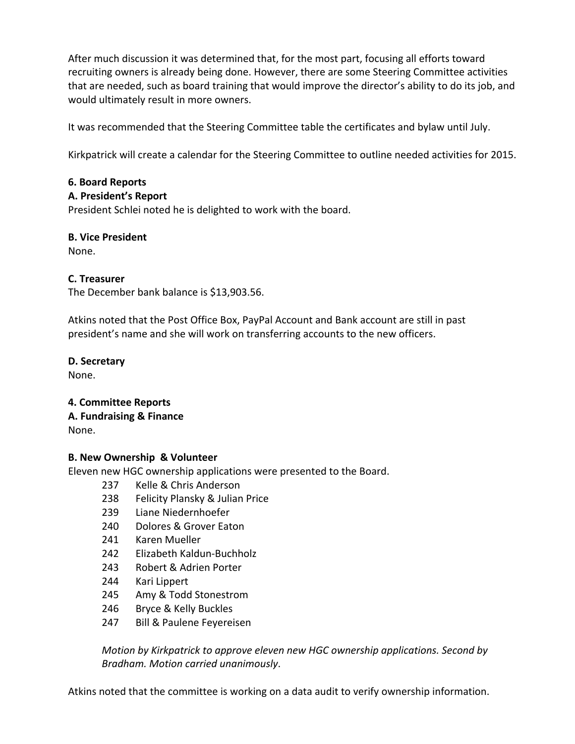After much discussion it was determined that, for the most part, focusing all efforts toward recruiting owners is already being done. However, there are some Steering Committee activities that are needed, such as board training that would improve the director's ability to do its job, and would ultimately result in more owners.

It was recommended that the Steering Committee table the certificates and bylaw until July.

Kirkpatrick will create a calendar for the Steering Committee to outline needed activities for 2015.

## **6.!Board!Reports**

## **A.!President's!Report**

President Schlei noted he is delighted to work with the board.

# **B. Vice President**

None.

## **C.!Treasurer**

The December bank balance is \$13,903.56.

Atkins noted that the Post Office Box, PayPal Account and Bank account are still in past president's name and she will work on transferring accounts to the new officers.

# **D.!Secretary**

None.

## **4. Committee!Reports**

# **A. Fundraising & Finance**

None.

# **B.!New!Ownership &!Volunteer**

Eleven new HGC ownership applications were presented to the Board.

- 237 Kelle & Chris Anderson
- 238 Felicity Plansky & Julian Price
- 239 Liane Niedernhoefer
- 240 Dolores & Grover Eaton
- 241 Karen Mueller
- 242 Elizabeth Kaldun-Buchholz
- 243 Robert & Adrien Porter
- 244 Kari Lippert
- 245 Amy & Todd Stonestrom
- 246 Bryce & Kelly Buckles
- 247 Bill & Paulene Feyereisen

*Motion by Kirkpatrick to approve eleven new HGC ownership applications. Second by Bradham.)Motion)carried)unanimously*.

Atkins noted that the committee is working on a data audit to verify ownership information.